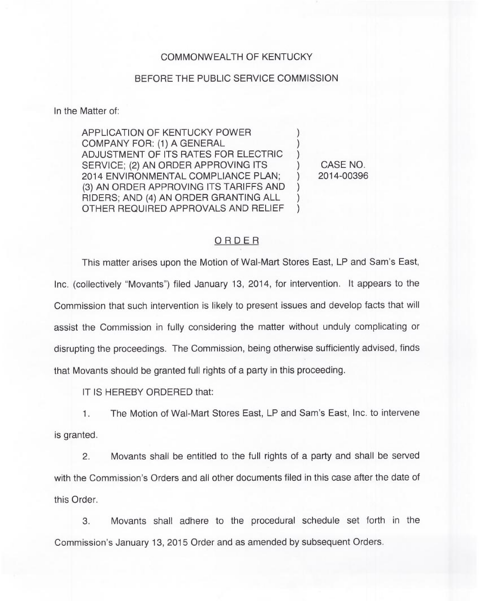## COMMONWEALTH OF KENTUCKY

## BEFORE THE PUBLIC SERVICE COMMISSION

In the Matter of:

APPLICATION OF KENTUCKY POWER COMPANY FOR: (1) A GENERAL ADJUSTMENT OF ITS RATES FOR ELECTRIC ) SERVICE; (2) AN ORDER APPROVING ITS 2014 ENVIRONMENTAL COMPLIANCE PLAN; ) (3) AN ORDER APPROVING ITS TARIFFS AND RIDERS; AND (4) AN ORDER GRANTING ALL ) OTHER REQUIRED APPROVALS AND RELIEF )

CASE NO. 2014-00396

## ORDER

This matter arises upon the Motion of Wal-Mart Stores East, LP and Sam's East, Inc. (collectively "Movants") filed January 13, 2014, for intervention. It appears to the Commission that such intervention is likely to present issues and develop facts that will assist the Commission in fully considering the matter without unduly complicating or disrupting the proceedings. The Commission, being otherwise sufficiently advised, finds that Movants should be granted full rights of a party in this proceeding.

IT IS HEREBY ORDERED that:

1. The Motion of Wal-Mart Stores East, LP and Sam's East, Inc. to intervene is granted.

 $2.$ Movants shall be entitled to the full rights of a party and shall be served with the Commission's Orders and all other documents filed in this case after the date of this Order.

 $3.$ Movants shall adhere to the procedural schedule set forth in the Commission's January 13, 2015 Order and as amended by subsequent Orders.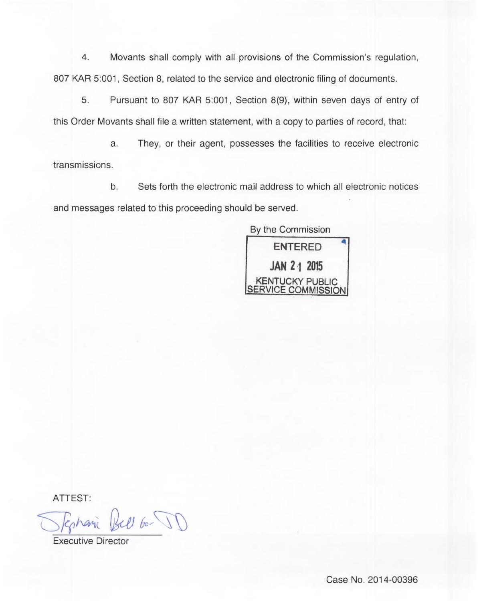4. Movants shall comply with all provisions of the Commission's regulation, 807 KAR 5:001, Section 8, related to the service and electronic filing of documents.

5. Pursuant to 807 KAR 5:001, Section 8(9), within seven days of entry of this Order Movants shall file a written statement, with a copy to parties of record, that:

a. They, or their agent, possesses the facilities to receive electronic transmissions.

b. Sets forth the electronic mail address to which all electronic notices and messages related to this proceeding should be served.

By the Commission ENTERED JAN 2<sub>1</sub> 2015 KENTUCKY PUBLIC SERVICE COMMISSION

ATTEST:

 $206 - 11$ 

Executive Director